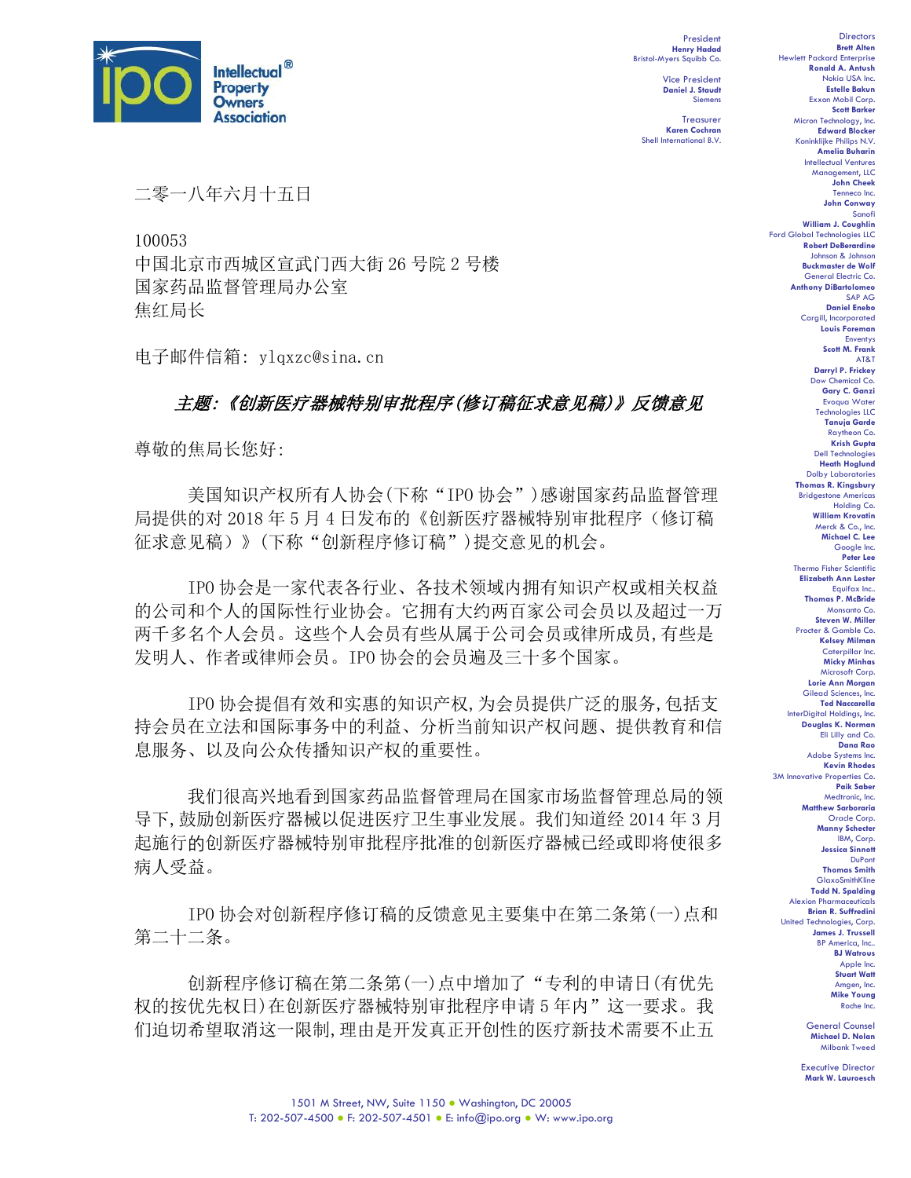

President **Henry Hadad** Bristol-Myers Squibb Co.

> Vice President **Daniel J. Staudt** Siemens

Treasurer **Karen Cochran** Shell International B.V.

二零一八年六月十五日

100053 中国北京市西城区宣武门西大街 26 号院 2 号楼 国家药品监督管理局办公室 焦红局长

电子邮件信箱: ylqxzc@sina.cn

## 主题:《创新医疗器械特别审批程序(修订稿征求意见稿)》反馈意见

尊敬的焦局长您好:

美国知识产权所有人协会(下称"IPO 协会")感谢国家药品监督管理 局提供的对 2018 年 5 月 4 日发布的《创新医疗器械特别审批程序(修订稿 征求意见稿)》(下称"创新程序修订稿")提交意见的机会。

IPO 协会是一家代表各行业、各技术领域内拥有知识产权或相关权益 的公司和个人的国际性行业协会。它拥有大约两百家公司会员以及超过一万 两千多名个人会员。这些个人会员有些从属于公司会员或律所成员,有些是 发明人、作者或律师会员。IPO 协会的会员遍及三十多个国家。

IPO 协会提倡有效和实惠的知识产权,为会员提供广泛的服务,包括支 持会员在立法和国际事务中的利益、分析当前知识产权问题、提供教育和信 息服务、以及向公众传播知识产权的重要性。

我们很高兴地看到国家药品监督管理局在国家市场监督管理总局的领 导下,鼓励创新医疗器械以促进医疗卫生事业发展。我们知道经 2014 年 3 月 起施行的创新医疗器械特别审批程序批准的创新医疗器械已经或即将使很多 病人受益。

IPO 协会对创新程序修订稿的反馈意见主要集中在第二条第(一)点和 第二十二条。

创新程序修订稿在第二条第(一)点中增加了"专利的申请日(有优先 权的按优先权日)在创新医疗器械特别审批程序申请 5 年内"这一要求。我 们迫切希望取消这一限制,理由是开发真正开创性的医疗新技术需要不止五

**Directors Brett Alten** Hewlett Packard Enterprise **Ronald A. Antush** Nokia USA Inc. **Estelle Bakun** Exxon Mobil Corp. **Scott Barker** Micron Technology, Inc. **Edward Blocker** Koninklijke Philips N.V. **Amelia Buharin** Intellectual Ventures Management, LLC **John Cheek** Tenneco Inc. **John Conway** Sanofi **William J. Coughlin** Ford Global Technologies LLC **Robert DeBerardine** Johnson & Johnson **Buckmaster de Wolf** General Electric Co. **Anthony DiBartolomeo** SAP AG **Daniel Enebo** Cargill, Incorporated **Louis Foreman** Enventys **Scott M. Frank** AT&T **Darryl P. Frickey** Dow Chemical Co. **Gary C. Ganzi** Evoqua Water Technologies LLC **Tanuja Garde** Raytheon Co. **Krish Gupta** Dell Technologies **Heath Hoglund** Dolby Laboratories **Thomas R. Kingsbury** Bridgestone Americas Holding Co. **William Krovatin** Merck & Co., Inc. **Michael C. Lee** Google Inc. **Peter Lee** Thermo Fisher Scientific **Elizabeth Ann Lester** Equifax Inc.. **Thomas P. McBride** Monsanto Co. **Steven W. Miller** Procter & Gamble Co. **Kelsey Milman** Caterpillar Inc. **Micky Minhas** Microsoft Corp. **Lorie Ann Morgan** Gilead Sciences, Inc. **Ted Naccarella** InterDigital Holdings, Inc. **Douglas K. Norman** Eli Lilly and Co. **Dana Rao** Adobe Systems Inc. **Kevin Rhodes** 3M Innovative Properties Co. **Paik Saber** Medtronic, Inc. **Matthew Sarboraria** Oracle Corp. **Manny Schecter** IBM, Corp. **Jessica Sinnott** DuPont **Thomas Smith** GlaxoSmithKline **Todd N. Spalding** Alexion Pharmaceuticals **Brian R. Suffredini** United Technologies, Corp. **James J. Trussell** BP America, Inc.. **BJ Watrous** Apple Inc. **Stuart Watt** Amgen, Inc. **Mike Young** Roche Inc.

General Counsel **Michael D. Nolan** Milbank Tweed

Executive Director **Mark W. Lauroesch**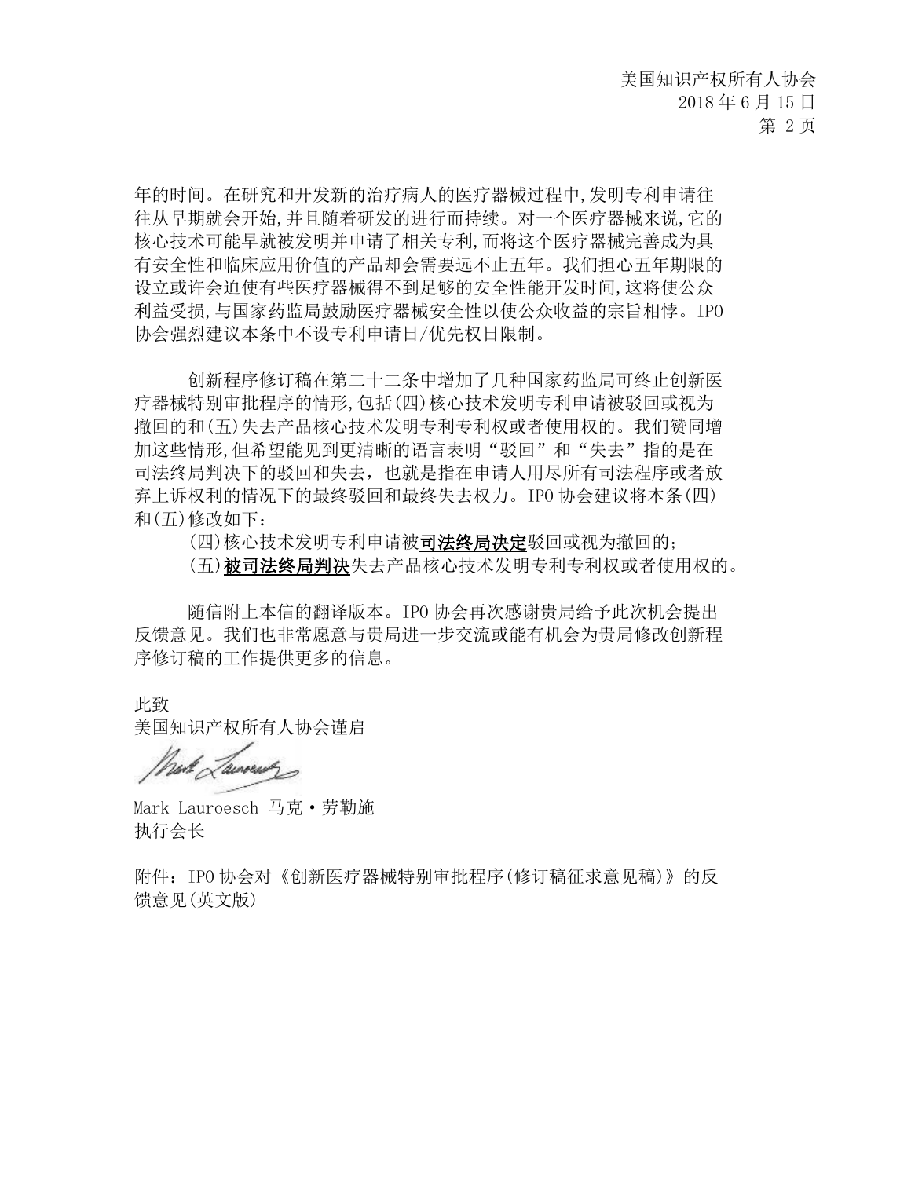年的时间。在研究和开发新的治疗病人的医疗器械过程中,发明专利申请往 往从早期就会开始,并且随着研发的进行而持续。对一个医疗器械来说,它的 核心技术可能早就被发明并申请了相关专利,而将这个医疗器械完善成为具 有安全性和临床应用价值的产品却会需要远不止五年。我们担心五年期限的 设立或许会迫使有些医疗器械得不到足够的安全性能开发时间,这将使公众 利益受损,与国家药监局鼓励医疗器械安全性以使公众收益的宗旨相悖。IPO 协会强烈建议本条中不设专利申请日/优先权日限制。

创新程序修订稿在第二十二条中增加了几种国家药监局可终止创新医 疗器械特别审批程序的情形,包括(四)核心技术发明专利申请被驳回或视为 撤回的和(五)失去产品核心技术发明专利专利权或者使用权的。我们赞同增 加这些情形,但希望能见到更清晰的语言表明"驳回"和"失去"指的是在 司法终局判决下的驳回和失去,也就是指在申请人用尽所有司法程序或者放 弃上诉权利的情况下的最终驳回和最终失去权力。IPO 协会建议将本条(四) 和(五)修改如下:

(四)核心技术发明专利申请被司法终局决定驳回或视为撤回的; (五)被司法终局判决失去产品核心技术发明专利专利权或者使用权的。

随信附上本信的翻译版本。IPO 协会再次感谢贵局给予此次机会提出 反馈意见。我们也非常愿意与贵局进一步交流或能有机会为贵局修改创新程 序修订稿的工作提供更多的信息。

此致 美国知识产权所有人协会谨启

and Laureau

Mark Lauroesch 马克·劳勒施 执行会长

附件:IPO 协会对《创新医疗器械特别审批程序(修订稿征求意见稿)》的反 馈意见(英文版)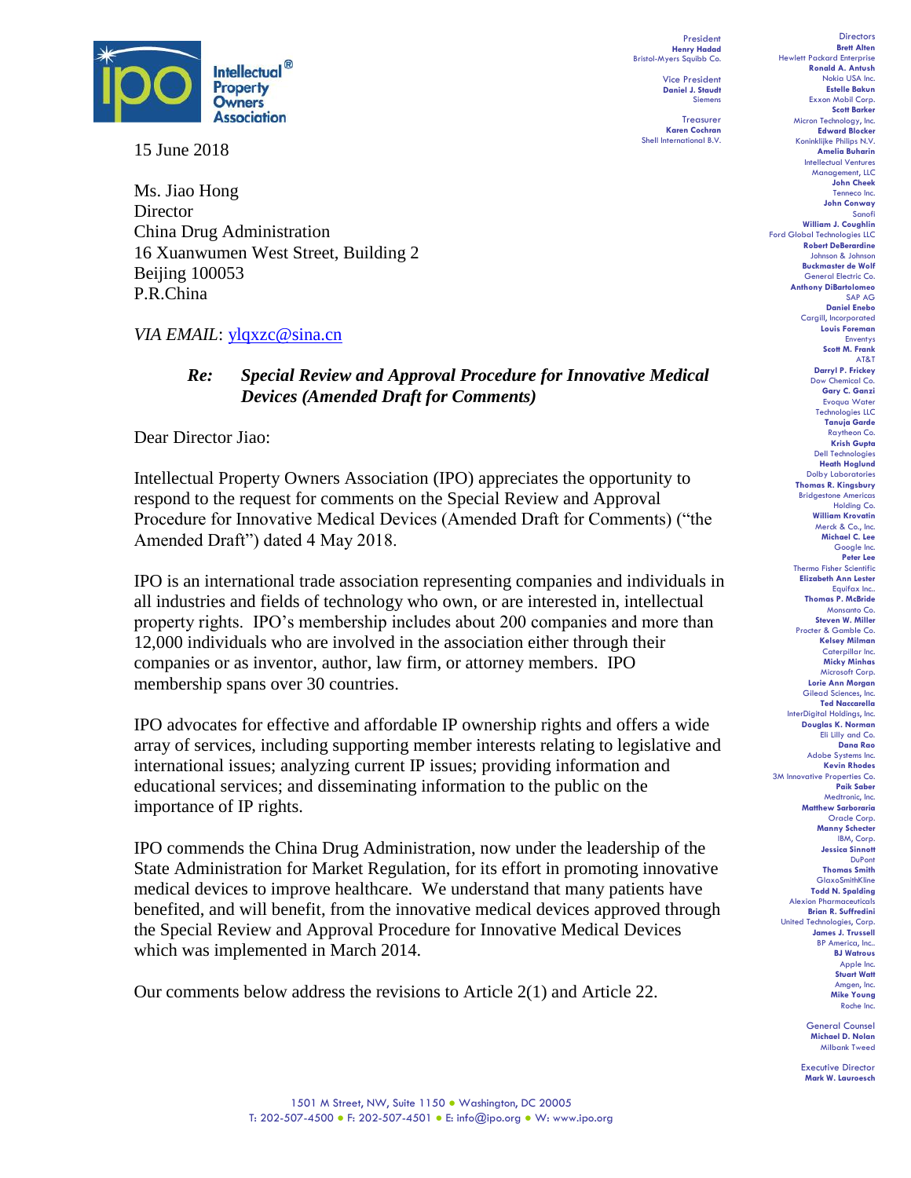

15 June 2018

Ms. Jiao Hong **Director** China Drug Administration 16 Xuanwumen West Street, Building 2 Beijing 100053 P.R.China

*VIA EMAIL*: [ylqxzc@sina.cn](mailto:ylqxzc@sina.cn)

## *Re: Special Review and Approval Procedure for Innovative Medical Devices (Amended Draft for Comments)*

Dear Director Jiao:

Intellectual Property Owners Association (IPO) appreciates the opportunity to respond to the request for comments on the Special Review and Approval Procedure for Innovative Medical Devices (Amended Draft for Comments) ("the Amended Draft") dated 4 May 2018.

IPO is an international trade association representing companies and individuals in all industries and fields of technology who own, or are interested in, intellectual property rights. IPO's membership includes about 200 companies and more than 12,000 individuals who are involved in the association either through their companies or as inventor, author, law firm, or attorney members. IPO membership spans over 30 countries.

IPO advocates for effective and affordable IP ownership rights and offers a wide array of services, including supporting member interests relating to legislative and international issues; analyzing current IP issues; providing information and educational services; and disseminating information to the public on the importance of IP rights.

IPO commends the China Drug Administration, now under the leadership of the State Administration for Market Regulation, for its effort in promoting innovative medical devices to improve healthcare. We understand that many patients have benefited, and will benefit, from the innovative medical devices approved through the Special Review and Approval Procedure for Innovative Medical Devices which was implemented in March 2014.

Our comments below address the revisions to Article 2(1) and Article 22.

**Henry Hadad** Bristol-Myers Squibb Co. Vice President **Daniel J. Staudt** Siemens

President

Treasurer **Karen Cochran** Shell International B.V.

**Brett Alten** Hewlett Packard Enterprise **Ronald A. Antush** Nokia USA Inc. **Estelle Bakun** Exxon Mobil Corp. **Scott Barker** Micron Technology, Inc. **Edward Blocker** Koninklijke Philips N.V. **Amelia Buharin** Intellectual Ventures Management, LLC **John Cheek** Tenneco Inc. **John Conway** Sanofi **William J. Coughlin** Ford Global Technologies LLC **Robert DeBerardine** Johnson & Johnson **Buckmaster de Wolf** General Electric Co. **Anthony DiBartolomeo** SAP AG **Daniel Enebo** Cargill, Incorporated **Louis Foreman** Enventys **Scott M. Frank** AT&T **Darryl P. Frickey** Dow Chemical Co. **Gary C. Ganzi** Evoqua Water Technologies LLC **Tanuja Garde** Raytheon Co. **Krish Gupta** Dell Technologies **Heath Hoglund** Dolby Laboratories **Thomas R. Kingsbury** Bridgestone Americas Holding Co. **William Krovatin** Merck & Co., Inc. **Michael C. Lee** Google Inc. **Peter Lee** Thermo Fisher Scientific **Elizabeth Ann Lester** Equifax Inc.. **Thomas P. McBride** Monsanto Co. **Steven W. Miller** Procter & Gamble Co. **Kelsey Milman** Caterpillar Inc. **Micky Minhas** Microsoft Corp. **Lorie Ann Morgan** Gilead Sciences, Inc. **Ted Naccarella** InterDigital Holdings, Inc. **Douglas K. Norman** Eli Lilly and Co. **Dana Rao** Adobe Systems Inc. **Kevin Rhodes** 3M Innovative Properties Co. **Paik Saber** Medtronic, Inc. **Matthew Sarboraria** Oracle Corp. **Manny Schecter** IBM, Corp. **Jessica Sinnott** DuPont **Thomas Smith** GlaxoSmithKline **Todd N. Spalding** Alexion Pharmaceuticals **Brian R. Suffredini** United Technologies, Corp. **James J. Trussell** BP America, Inc.. **BJ Watrous** Apple Inc. **Stuart Watt** Amgen, Inc. **Mike Young** Roche Inc.

**Directors** 

General Counsel **Michael D. Nolan** Milbank Tweed

Executive Director **Mark W. Lauroesch**